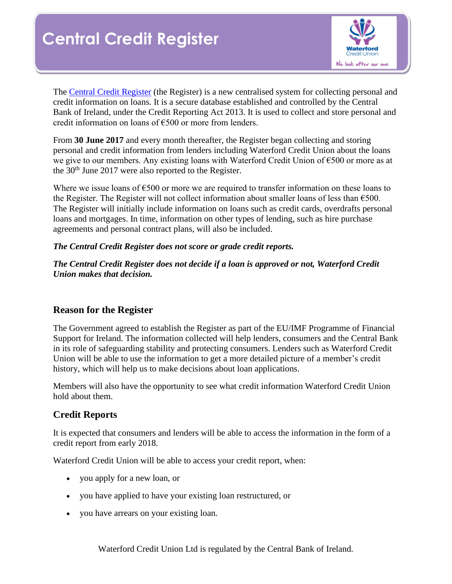

The [Central Credit Register](https://www.centralcreditregister.ie/) (the Register) is a new centralised system for collecting personal and credit information on loans. It is a secure database established and controlled by the Central Bank of Ireland, under the Credit Reporting Act 2013. It is used to collect and store personal and credit information on loans of €500 or more from lenders.

From **30 June 2017** and every month thereafter, the Register began collecting and storing personal and credit information from lenders including Waterford Credit Union about the loans we give to our members. Any existing loans with Waterford Credit Union of €500 or more as at the  $30<sup>th</sup>$  June 2017 were also reported to the Register.

Where we issue loans of  $\epsilon$ 500 or more we are required to transfer information on these loans to the Register. The Register will not collect information about smaller loans of less than  $\epsilon$ 500. The Register will initially include information on loans such as credit cards, overdrafts personal loans and mortgages. In time, information on other types of lending, such as hire purchase agreements and personal contract plans, will also be included.

#### *The Central Credit Register does not score or grade credit reports.*

*The Central Credit Register does not decide if a loan is approved or not, Waterford Credit Union makes that decision.*

## **Reason for the Register**

The Government agreed to establish the Register as part of the EU/IMF Programme of Financial Support for Ireland. The information collected will help lenders, consumers and the Central Bank in its role of safeguarding stability and protecting consumers. Lenders such as Waterford Credit Union will be able to use the information to get a more detailed picture of a member's credit history, which will help us to make decisions about loan applications.

Members will also have the opportunity to see what credit information Waterford Credit Union hold about them.

## **Credit Reports**

It is expected that consumers and lenders will be able to access the information in the form of a credit report from early 2018.

Waterford Credit Union will be able to access your credit report, when:

- you apply for a new loan, or
- you have applied to have your existing loan restructured, or
- you have arrears on your existing loan.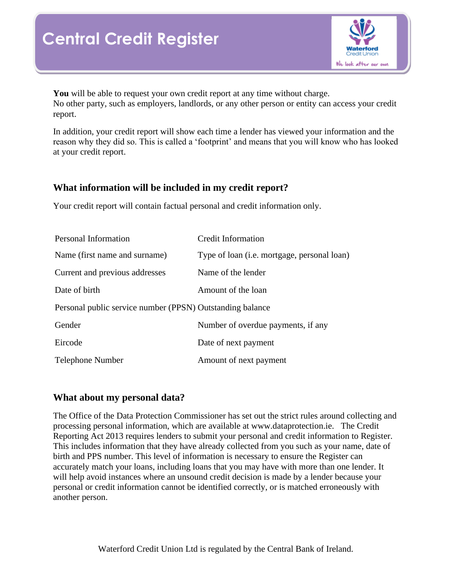# **Central Credit Register**



**You** will be able to request your own credit report at any time without charge. No other party, such as employers, landlords, or any other person or entity can access your credit report.

In addition, your credit report will show each time a lender has viewed your information and the reason why they did so. This is called a 'footprint' and means that you will know who has looked at your credit report.

### **What information will be included in my credit report?**

Your credit report will contain factual personal and credit information only.

| Personal Information                                      | <b>Credit Information</b>                           |
|-----------------------------------------------------------|-----------------------------------------------------|
| Name (first name and surname)                             | Type of loan ( <i>i.e.</i> mortgage, personal loan) |
| Current and previous addresses                            | Name of the lender                                  |
| Date of birth                                             | Amount of the loan                                  |
| Personal public service number (PPSN) Outstanding balance |                                                     |
| Gender                                                    | Number of overdue payments, if any                  |
| Eircode                                                   | Date of next payment                                |
| Telephone Number                                          | Amount of next payment                              |

#### **What about my personal data?**

The Office of the Data Protection Commissioner has set out the strict rules around collecting and processing personal information, which are available at www.dataprotection.ie. The Credit Reporting Act 2013 requires lenders to submit your personal and credit information to Register. This includes information that they have already collected from you such as your name, date of birth and PPS number. This level of information is necessary to ensure the Register can accurately match your loans, including loans that you may have with more than one lender. It will help avoid instances where an unsound credit decision is made by a lender because your personal or credit information cannot be identified correctly, or is matched erroneously with another person.